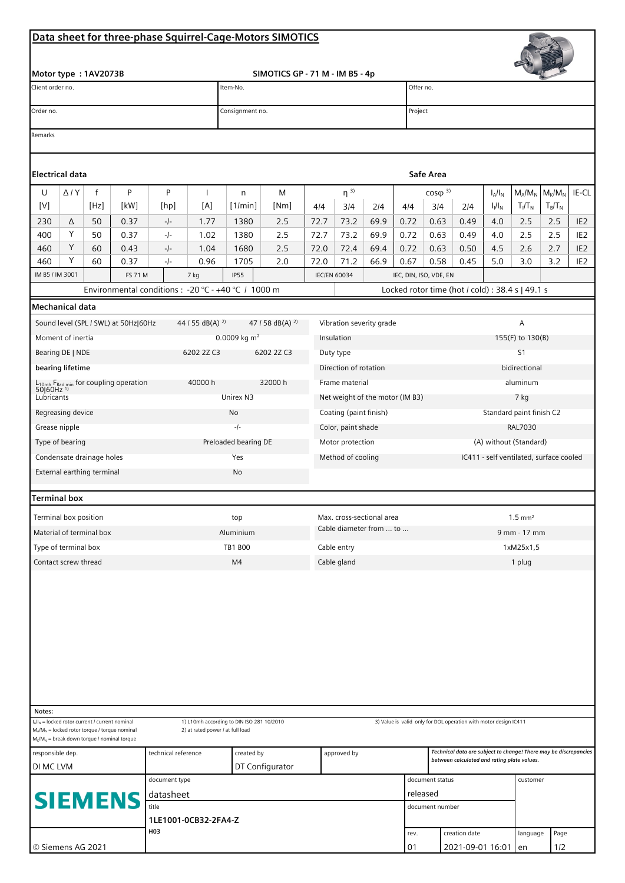## **Data sheet for three-phase Squirrel-Cage-Motors SIMOTICS**

|                                                                                                                                                                                                                                                          |                                                                                                                                                                                                                                                                                                                           |                            |                               |               |                             |                                                        | Data sheet for three-phase Squirrel-Cage-Motors SIMOTICS |                                        |                                 |                                                                                                                 |                                                  |                                         |                          |            |                  |            |                                    |  |  |
|----------------------------------------------------------------------------------------------------------------------------------------------------------------------------------------------------------------------------------------------------------|---------------------------------------------------------------------------------------------------------------------------------------------------------------------------------------------------------------------------------------------------------------------------------------------------------------------------|----------------------------|-------------------------------|---------------|-----------------------------|--------------------------------------------------------|----------------------------------------------------------|----------------------------------------|---------------------------------|-----------------------------------------------------------------------------------------------------------------|--------------------------------------------------|-----------------------------------------|--------------------------|------------|------------------|------------|------------------------------------|--|--|
|                                                                                                                                                                                                                                                          |                                                                                                                                                                                                                                                                                                                           |                            |                               |               |                             |                                                        |                                                          |                                        |                                 |                                                                                                                 |                                                  |                                         |                          |            |                  |            |                                    |  |  |
| Motor type: 1AV2073B<br>Client order no.                                                                                                                                                                                                                 |                                                                                                                                                                                                                                                                                                                           |                            |                               |               |                             | SIMOTICS GP - 71 M - IM B5 - 4p<br>Item-No.            |                                                          |                                        |                                 |                                                                                                                 | Offer no.                                        |                                         |                          |            |                  |            |                                    |  |  |
| Order no.                                                                                                                                                                                                                                                |                                                                                                                                                                                                                                                                                                                           |                            |                               |               |                             | Consignment no.                                        |                                                          |                                        |                                 |                                                                                                                 |                                                  | Project                                 |                          |            |                  |            |                                    |  |  |
| Remarks                                                                                                                                                                                                                                                  |                                                                                                                                                                                                                                                                                                                           |                            |                               |               |                             |                                                        |                                                          |                                        |                                 |                                                                                                                 |                                                  |                                         |                          |            |                  |            |                                    |  |  |
|                                                                                                                                                                                                                                                          |                                                                                                                                                                                                                                                                                                                           |                            |                               |               |                             |                                                        |                                                          |                                        |                                 |                                                                                                                 |                                                  |                                         |                          |            |                  |            |                                    |  |  |
| <b>Electrical data</b>                                                                                                                                                                                                                                   |                                                                                                                                                                                                                                                                                                                           |                            |                               |               |                             |                                                        |                                                          |                                        |                                 |                                                                                                                 | Safe Area                                        |                                         |                          |            |                  |            |                                    |  |  |
| U                                                                                                                                                                                                                                                        | $\Delta$ / $Y$                                                                                                                                                                                                                                                                                                            | $\mathsf{f}$               | P                             | P             | J.                          | n                                                      | M                                                        | $\eta^{3)}$<br>$cos\phi$ <sup>3)</sup> |                                 |                                                                                                                 |                                                  |                                         |                          | $I_A/I_N$  | $M_A/M_N$        | $M_K/M_N$  | IE-CL                              |  |  |
| $[V] % \begin{center} % \includegraphics[width=\linewidth]{imagesSupplemental_3.png} % \end{center} % \caption { % Our method is used for the method. % The method is used in the image. % The method is used in the image. % } % \label{fig:example} %$ |                                                                                                                                                                                                                                                                                                                           | [Hz]                       | [kW]                          | [hp]          | [A]                         | [1/min]                                                | [Nm]                                                     | 4/4                                    | 3/4                             | 2/4                                                                                                             | 4/4                                              | 3/4                                     | 2/4                      | $I_1/I_N$  | $T_I/T_N$        | $T_B/T_N$  |                                    |  |  |
| 230                                                                                                                                                                                                                                                      | Δ                                                                                                                                                                                                                                                                                                                         | 50                         | 0.37                          | $-1-$         | 1.77                        | 1380                                                   | 2.5                                                      | 72.7                                   | 73.2                            | 69.9                                                                                                            | 0.72                                             | 0.63                                    | 0.49                     | 4.0        | 2.5              | 2.5        | IE <sub>2</sub>                    |  |  |
| 400                                                                                                                                                                                                                                                      | Υ                                                                                                                                                                                                                                                                                                                         | 50                         | 0.37                          | -/-           | 1.02                        | 1380                                                   | 2.5                                                      | 72.7                                   | 73.2                            | 69.9                                                                                                            | 0.72                                             | 0.63                                    | 0.49                     | 4.0        | 2.5              | 2.5        | IE <sub>2</sub>                    |  |  |
| 460<br>460                                                                                                                                                                                                                                               | Υ<br>Υ                                                                                                                                                                                                                                                                                                                    | 60<br>60                   | 0.43<br>0.37                  | $-1-$<br>-/-  | 1.04<br>0.96                | 1680<br>1705                                           | 2.5<br>2.0                                               | 72.0<br>72.0                           | 72.4<br>71.2                    | 69.4<br>66.9                                                                                                    | 0.72<br>0.67                                     | 0.63<br>0.58                            | 0.50<br>0.45             | 4.5<br>5.0 | 2.6<br>3.0       | 2.7<br>3.2 | IE <sub>2</sub><br>IE <sub>2</sub> |  |  |
| IM B5 / IM 3001                                                                                                                                                                                                                                          |                                                                                                                                                                                                                                                                                                                           |                            | <b>FS 71 M</b>                |               | 7 kg                        | <b>IP55</b>                                            |                                                          |                                        | <b>IEC/EN 60034</b>             |                                                                                                                 |                                                  | IEC, DIN, ISO, VDE, EN                  |                          |            |                  |            |                                    |  |  |
|                                                                                                                                                                                                                                                          |                                                                                                                                                                                                                                                                                                                           |                            |                               |               |                             | Environmental conditions : - 20 °C - +40 °C / 1000 m   |                                                          |                                        |                                 |                                                                                                                 | Locked rotor time (hot / cold) : 38.4 s   49.1 s |                                         |                          |            |                  |            |                                    |  |  |
| Mechanical data                                                                                                                                                                                                                                          |                                                                                                                                                                                                                                                                                                                           |                            |                               |               |                             |                                                        |                                                          |                                        |                                 |                                                                                                                 |                                                  |                                         |                          |            |                  |            |                                    |  |  |
|                                                                                                                                                                                                                                                          |                                                                                                                                                                                                                                                                                                                           |                            |                               |               | 44 / 55 dB(A) <sup>2)</sup> |                                                        |                                                          |                                        | Vibration severity grade        |                                                                                                                 |                                                  |                                         |                          |            | A                |            |                                    |  |  |
| Sound level (SPL / SWL) at 50Hz 60Hz<br>Moment of inertia                                                                                                                                                                                                |                                                                                                                                                                                                                                                                                                                           |                            |                               |               |                             | 47 / 58 dB(A) $^{2)}$<br>0.0009 kg $m^2$<br>Insulation |                                                          |                                        |                                 |                                                                                                                 |                                                  |                                         |                          |            | 155(F) to 130(B) |            |                                    |  |  |
|                                                                                                                                                                                                                                                          |                                                                                                                                                                                                                                                                                                                           |                            |                               |               | 6202 2Z C3                  |                                                        | 6202 2Z C3                                               |                                        | Duty type                       |                                                                                                                 |                                                  |                                         | S <sub>1</sub>           |            |                  |            |                                    |  |  |
| Bearing DE   NDE<br>bearing lifetime                                                                                                                                                                                                                     |                                                                                                                                                                                                                                                                                                                           |                            |                               |               |                             |                                                        | Direction of rotation                                    |                                        |                                 |                                                                                                                 | bidirectional                                    |                                         |                          |            |                  |            |                                    |  |  |
| 40000h<br>$L_{10mh}$ F <sub>Rad min</sub> for coupling operation<br>50 60Hz <sup>1)</sup>                                                                                                                                                                |                                                                                                                                                                                                                                                                                                                           |                            |                               |               |                             |                                                        | 32000 h                                                  |                                        | Frame material                  |                                                                                                                 |                                                  |                                         | aluminum                 |            |                  |            |                                    |  |  |
| Lubricants                                                                                                                                                                                                                                               |                                                                                                                                                                                                                                                                                                                           |                            |                               |               |                             | Unirex N3                                              |                                                          |                                        | Net weight of the motor (IM B3) |                                                                                                                 |                                                  |                                         | 7 kg                     |            |                  |            |                                    |  |  |
| Regreasing device                                                                                                                                                                                                                                        |                                                                                                                                                                                                                                                                                                                           |                            |                               |               |                             | No                                                     |                                                          |                                        | Coating (paint finish)          |                                                                                                                 |                                                  |                                         | Standard paint finish C2 |            |                  |            |                                    |  |  |
| Grease nipple                                                                                                                                                                                                                                            |                                                                                                                                                                                                                                                                                                                           |                            |                               |               |                             | $-1-$                                                  |                                                          |                                        | Color, paint shade              |                                                                                                                 |                                                  |                                         | <b>RAL7030</b>           |            |                  |            |                                    |  |  |
| Type of bearing                                                                                                                                                                                                                                          |                                                                                                                                                                                                                                                                                                                           |                            |                               |               |                             | Preloaded bearing DE                                   |                                                          | Motor protection                       |                                 |                                                                                                                 |                                                  | (A) without (Standard)                  |                          |            |                  |            |                                    |  |  |
| Condensate drainage holes                                                                                                                                                                                                                                |                                                                                                                                                                                                                                                                                                                           |                            |                               |               |                             | Yes                                                    |                                                          | Method of cooling                      |                                 |                                                                                                                 |                                                  | IC411 - self ventilated, surface cooled |                          |            |                  |            |                                    |  |  |
|                                                                                                                                                                                                                                                          |                                                                                                                                                                                                                                                                                                                           | External earthing terminal |                               |               |                             | No                                                     |                                                          |                                        |                                 |                                                                                                                 |                                                  |                                         |                          |            |                  |            |                                    |  |  |
| <b>Terminal box</b>                                                                                                                                                                                                                                      |                                                                                                                                                                                                                                                                                                                           |                            |                               |               |                             |                                                        |                                                          |                                        |                                 |                                                                                                                 |                                                  |                                         |                          |            |                  |            |                                    |  |  |
| Terminal box position                                                                                                                                                                                                                                    |                                                                                                                                                                                                                                                                                                                           |                            |                               |               |                             | top                                                    |                                                          |                                        | Max. cross-sectional area       |                                                                                                                 |                                                  |                                         | $1.5 \text{ mm}^2$       |            |                  |            |                                    |  |  |
| Material of terminal box                                                                                                                                                                                                                                 |                                                                                                                                                                                                                                                                                                                           |                            |                               |               |                             | Aluminium                                              |                                                          |                                        | Cable diameter from  to         |                                                                                                                 |                                                  |                                         | 9 mm - 17 mm             |            |                  |            |                                    |  |  |
| Type of terminal box                                                                                                                                                                                                                                     |                                                                                                                                                                                                                                                                                                                           |                            |                               |               |                             | <b>TB1 B00</b>                                         | Cable entry                                              |                                        |                                 |                                                                                                                 | 1xM25x1,5                                        |                                         |                          |            |                  |            |                                    |  |  |
| Contact screw thread                                                                                                                                                                                                                                     |                                                                                                                                                                                                                                                                                                                           |                            |                               |               |                             | Cable gland<br>M4                                      |                                                          |                                        |                                 |                                                                                                                 |                                                  | 1 plug                                  |                          |            |                  |            |                                    |  |  |
|                                                                                                                                                                                                                                                          |                                                                                                                                                                                                                                                                                                                           |                            |                               |               |                             |                                                        |                                                          |                                        |                                 |                                                                                                                 |                                                  |                                         |                          |            |                  |            |                                    |  |  |
| Notes:                                                                                                                                                                                                                                                   |                                                                                                                                                                                                                                                                                                                           |                            |                               |               |                             |                                                        |                                                          |                                        |                                 |                                                                                                                 |                                                  |                                         |                          |            |                  |            |                                    |  |  |
|                                                                                                                                                                                                                                                          | $I_A/I_N$ = locked rotor current / current nominal<br>1) L10mh according to DIN ISO 281 10/2010<br>3) Value is valid only for DOL operation with motor design IC411<br>$M_A/M_N$ = locked rotor torque / torque nominal<br>2) at rated power / at full load<br>$M_{\rm K}/M_{\rm N}$ = break down torque / nominal torque |                            |                               |               |                             |                                                        |                                                          |                                        |                                 |                                                                                                                 |                                                  |                                         |                          |            |                  |            |                                    |  |  |
| technical reference<br>responsible dep.<br>DI MC LVM                                                                                                                                                                                                     |                                                                                                                                                                                                                                                                                                                           |                            |                               |               | created by                  |                                                        | approved by                                              |                                        |                                 | Technical data are subject to change! There may be discrepancies<br>between calculated and rating plate values. |                                                  |                                         |                          |            |                  |            |                                    |  |  |
|                                                                                                                                                                                                                                                          |                                                                                                                                                                                                                                                                                                                           |                            |                               | document type |                             |                                                        | DT Configurator                                          |                                        |                                 |                                                                                                                 |                                                  | document status                         |                          |            | customer         |            |                                    |  |  |
|                                                                                                                                                                                                                                                          |                                                                                                                                                                                                                                                                                                                           |                            |                               | datasheet     |                             |                                                        |                                                          |                                        |                                 |                                                                                                                 |                                                  | released                                |                          |            |                  |            |                                    |  |  |
| <b>SIEMENS</b>                                                                                                                                                                                                                                           |                                                                                                                                                                                                                                                                                                                           |                            | title<br>1LE1001-0CB32-2FA4-Z |               |                             |                                                        |                                                          | document number                        |                                 |                                                                                                                 |                                                  |                                         |                          |            |                  |            |                                    |  |  |
| H03                                                                                                                                                                                                                                                      |                                                                                                                                                                                                                                                                                                                           |                            |                               |               |                             |                                                        |                                                          |                                        |                                 | rev.                                                                                                            |                                                  | creation date                           |                          | language   | Page             |            |                                    |  |  |

01 2021-09-01 16:01 en 1/2

© Siemens AG 2021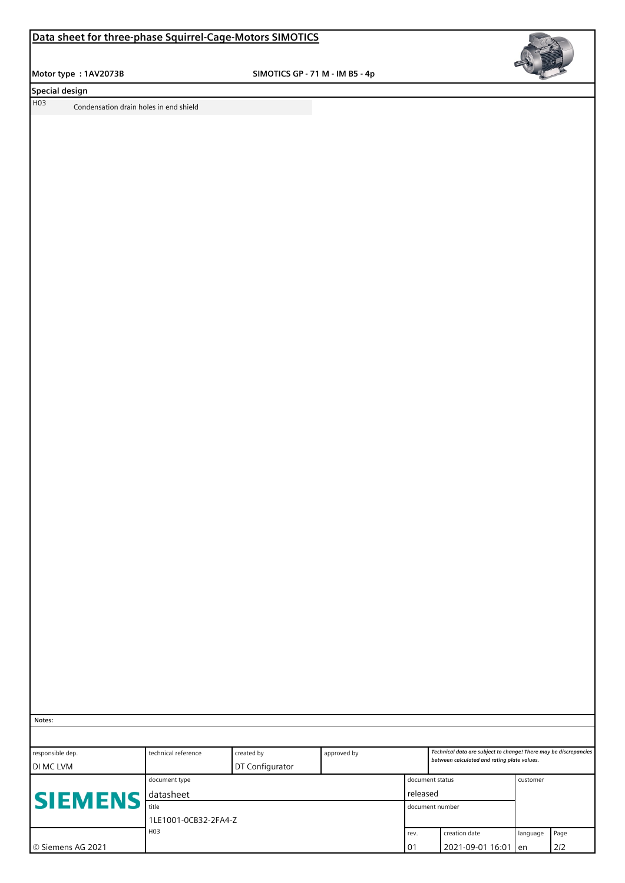## **Data sheet for three-phase Squirrel-Cage-Motors SIMOTICS**

 **Motor type : 1AV2073B SIMOTICS GP - 71 M - IM B5 - 4p**



**Special design** 

H03 Condensation drain holes in end shield

 **Notes:**

| responsible dep.<br>I DI MC LVM | technical reference           | created by<br>DT Configurator | approved by                 |                        | Technical data are subject to change! There may be discrepancies<br>between calculated and rating plate values. |          |             |  |  |
|---------------------------------|-------------------------------|-------------------------------|-----------------------------|------------------------|-----------------------------------------------------------------------------------------------------------------|----------|-------------|--|--|
| <b>SIEMENS</b>                  | document type<br>datasheet    |                               | document status<br>released |                        | customer                                                                                                        |          |             |  |  |
|                                 | title<br>1LE1001-0CB32-2FA4-Z |                               | l document number           |                        |                                                                                                                 |          |             |  |  |
| l © Siemens AG 2021             | H03                           |                               |                             | rev.<br>0 <sup>1</sup> | creation date<br>2021-09-01 16:01 len                                                                           | language | Page<br>2/2 |  |  |